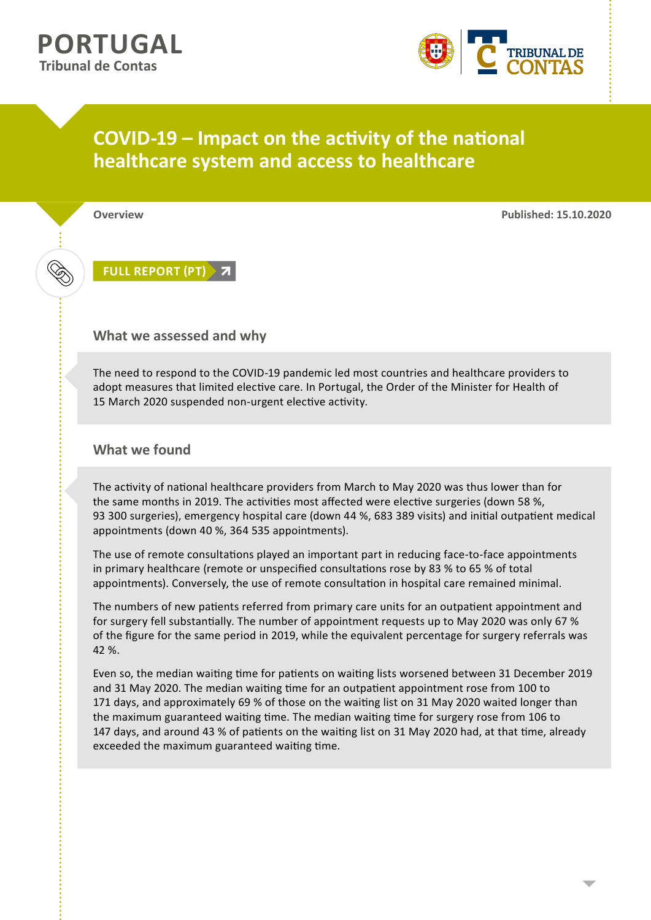

## **COVID-19 – Impact on the activity of the national healthcare system and access to healthcare**

**Overview Published: 15.10.2020**

**[FULL REPORT \(PT\)](https://www.tcontas.pt/pt-pt/ProdutosTC/Relatorios/relatorios-oac/Documents/2020/relatorio-oac-2020-05.pdf)**

## **What we assessed and why**

The need to respond to the COVID-19 pandemic led most countries and healthcare providers to adopt measures that limited elective care. In Portugal, the Order of the Minister for Health of 15 March 2020 suspended non-urgent elective activity.

## **What we found**

The activity of national healthcare providers from March to May 2020 was thus lower than for the same months in 2019. The activities most affected were elective surgeries (down 58 %, 93 300 surgeries), emergency hospital care (down 44 %, 683 389 visits) and initial outpatient medical appointments (down 40 %, 364 535 appointments).

The use of remote consultations played an important part in reducing face-to-face appointments in primary healthcare (remote or unspecified consultations rose by 83 % to 65 % of total appointments). Conversely, the use of remote consultation in hospital care remained minimal.

The numbers of new patients referred from primary care units for an outpatient appointment and for surgery fell substantially. The number of appointment requests up to May 2020 was only 67 % of the figure for the same period in 2019, while the equivalent percentage for surgery referrals was 42 %.

Even so, the median waiting time for patients on waiting lists worsened between 31 December 2019 and 31 May 2020. The median waiting time for an outpatient appointment rose from 100 to 171 days, and approximately 69 % of those on the waiting list on 31 May 2020 waited longer than the maximum guaranteed waiting time. The median waiting time for surgery rose from 106 to 147 days, and around 43 % of patients on the waiting list on 31 May 2020 had, at that time, already exceeded the maximum guaranteed waiting time.